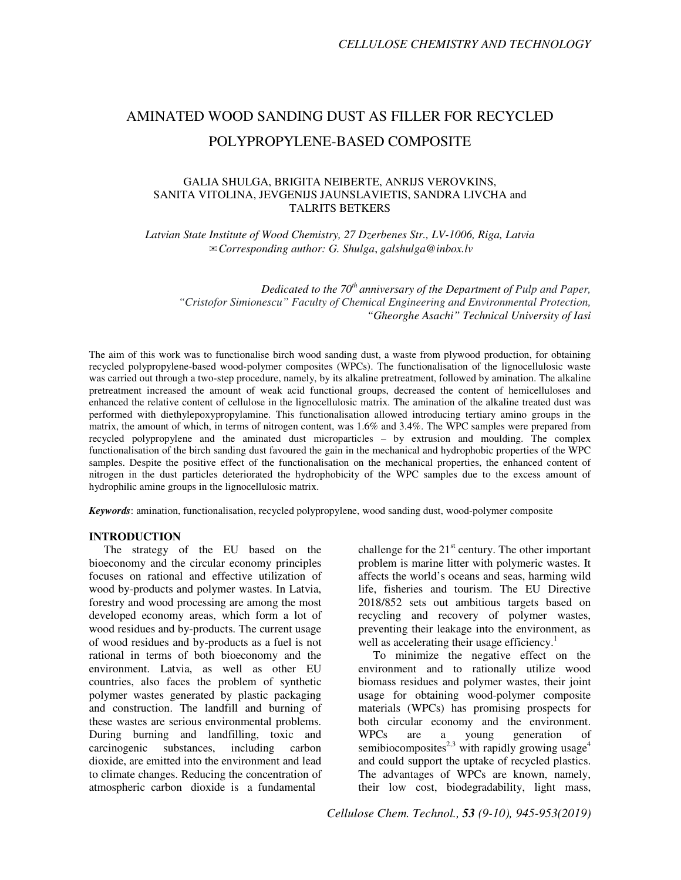# AMINATED WOOD SANDING DUST AS FILLER FOR RECYCLED POLYPROPYLENE-BASED COMPOSITE

## GALIA SHULGA, BRIGITA NEIBERTE, ANRIJS VEROVKINS, SANITA VITOLINA, JEVGENIJS JAUNSLAVIETIS, SANDRA LIVCHA and TALRITS BETKERS

*Latvian State Institute of Wood Chemistry, 27 Dzerbenes Str., LV-1006, Riga, Latvia*  ✉*Corresponding author: G. Shulga*, *galshulga@inbox.lv*

*Dedicated to the 70th anniversary of the Department of Pulp and Paper, "Cristofor Simionescu" Faculty of Chemical Engineering and Environmental Protection, "Gheorghe Asachi" Technical University of Iasi* 

The aim of this work was to functionalise birch wood sanding dust, a waste from plywood production, for obtaining recycled polypropylene-based wood-polymer composites (WPCs). The functionalisation of the lignocellulosic waste was carried out through a two-step procedure, namely, by its alkaline pretreatment, followed by amination. The alkaline pretreatment increased the amount of weak acid functional groups, decreased the content of hemicelluloses and enhanced the relative content of cellulose in the lignocellulosic matrix. The amination of the alkaline treated dust was performed with diethylepoxypropylamine. This functionalisation allowed introducing tertiary amino groups in the matrix, the amount of which, in terms of nitrogen content, was 1.6% and 3.4%. The WPC samples were prepared from recycled polypropylene and the aminated dust microparticles – by extrusion and moulding. The complex functionalisation of the birch sanding dust favoured the gain in the mechanical and hydrophobic properties of the WPC samples. Despite the positive effect of the functionalisation on the mechanical properties, the enhanced content of nitrogen in the dust particles deteriorated the hydrophobicity of the WPC samples due to the excess amount of hydrophilic amine groups in the lignocellulosic matrix.

*Keywords*: amination, functionalisation, recycled polypropylene, wood sanding dust, wood-polymer composite

#### **INTRODUCTION**

The strategy of the EU based on the bioeconomy and the circular economy principles focuses on rational and effective utilization of wood by-products and polymer wastes. In Latvia, forestry and wood processing are among the most developed economy areas, which form a lot of wood residues and by-products. The current usage of wood residues and by-products as a fuel is not rational in terms of both bioeconomy and the environment. Latvia, as well as other EU countries, also faces the problem of synthetic polymer wastes generated by plastic packaging and construction. The landfill and burning of these wastes are serious environmental problems. During burning and landfilling, toxic and carcinogenic substances, including carbon dioxide, are emitted into the environment and lead to climate changes. Reducing the concentration of atmospheric carbon dioxide is a fundamental

challenge for the  $21<sup>st</sup>$  century. The other important problem is marine litter with polymeric wastes. It affects the world's oceans and seas, harming wild life, fisheries and tourism. The EU Directive 2018/852 sets out ambitious targets based on recycling and recovery of polymer wastes, preventing their leakage into the environment, as well as accelerating their usage efficiency.<sup>1</sup>

To minimize the negative effect on the environment and to rationally utilize wood biomass residues and polymer wastes, their joint usage for obtaining wood-polymer composite materials (WPCs) has promising prospects for both circular economy and the environment. WPCs are a young generation of semibiocomposites<sup>2,3</sup> with rapidly growing usage<sup>4</sup> and could support the uptake of recycled plastics. The advantages of WPCs are known, namely, their low cost, biodegradability, light mass,

*Cellulose Chem. Technol., 53 (9-10), 945-953(2019)*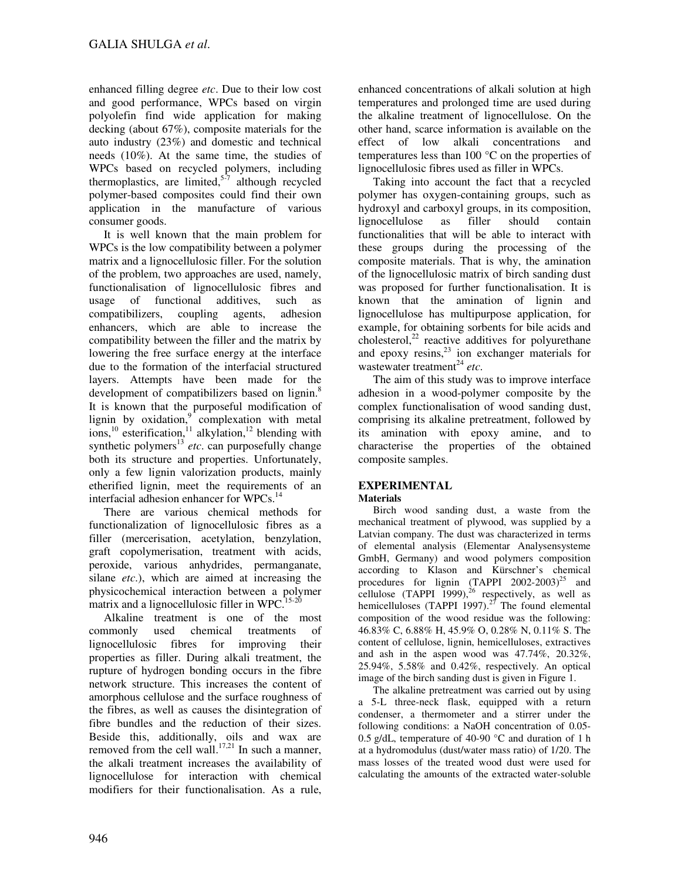enhanced filling degree *etc*. Due to their low cost and good performance, WPCs based on virgin polyolefin find wide application for making decking (about 67%), composite materials for the auto industry (23%) and domestic and technical needs (10%). At the same time, the studies of WPCs based on recycled polymers, including thermoplastics, are limited, $5\overline{7}$  although recycled polymer-based composites could find their own application in the manufacture of various consumer goods.

It is well known that the main problem for WPCs is the low compatibility between a polymer matrix and a lignocellulosic filler. For the solution of the problem, two approaches are used, namely, functionalisation of lignocellulosic fibres and usage of functional additives, such as compatibilizers, coupling agents, adhesion enhancers, which are able to increase the compatibility between the filler and the matrix by lowering the free surface energy at the interface due to the formation of the interfacial structured layers. Attempts have been made for the development of compatibilizers based on lignin.<sup>8</sup> It is known that the purposeful modification of lignin by oxidation, $9$  complexation with metal ions,<sup>10</sup> esterification,<sup>11</sup> alkylation,<sup>12</sup> blending with synthetic polymers<sup>13</sup> etc. can purposefully change both its structure and properties. Unfortunately, only a few lignin valorization products, mainly etherified lignin, meet the requirements of an interfacial adhesion enhancer for WPCs.<sup>14</sup>

There are various chemical methods for functionalization of lignocellulosic fibres as a filler (mercerisation, acetylation, benzylation, graft copolymerisation, treatment with acids, peroxide, various anhydrides, permanganate, silane *etc*.), which are aimed at increasing the physicochemical interaction between a polymer matrix and a lignocellulosic filler in WPC.<sup>15-20</sup>

Alkaline treatment is one of the most commonly used chemical treatments of lignocellulosic fibres for improving their properties as filler. During alkali treatment, the rupture of hydrogen bonding occurs in the fibre network structure. This increases the content of amorphous cellulose and the surface roughness of the fibres, as well as causes the disintegration of fibre bundles and the reduction of their sizes. Beside this, additionally, oils and wax are removed from the cell wall.<sup>17,21</sup> In such a manner, the alkali treatment increases the availability of lignocellulose for interaction with chemical modifiers for their functionalisation. As a rule,

enhanced concentrations of alkali solution at high temperatures and prolonged time are used during the alkaline treatment of lignocellulose. On the other hand, scarce information is available on the effect of low alkali concentrations and temperatures less than 100 °C on the properties of lignocellulosic fibres used as filler in WPCs.

Taking into account the fact that a recycled polymer has oxygen-containing groups, such as hydroxyl and carboxyl groups, in its composition, lignocellulose as filler should contain functionalities that will be able to interact with these groups during the processing of the composite materials. That is why, the amination of the lignocellulosic matrix of birch sanding dust was proposed for further functionalisation. It is known that the amination of lignin and lignocellulose has multipurpose application, for example, for obtaining sorbents for bile acids and cholesterol, $^{22}$  reactive additives for polyurethane and epoxy  $resins<sub>1</sub><sup>23</sup>$  ion exchanger materials for wastewater treatment<sup>24</sup> etc.

The aim of this study was to improve interface adhesion in a wood-polymer composite by the complex functionalisation of wood sanding dust, comprising its alkaline pretreatment, followed by its amination with epoxy amine, and to characterise the properties of the obtained composite samples.

# **EXPERIMENTAL**

## **Materials**

Birch wood sanding dust, a waste from the mechanical treatment of plywood, was supplied by a Latvian company. The dust was characterized in terms of elemental analysis (Elementar Analysensysteme GmbH, Germany) and wood polymers composition according to Klason and Kürschner's chemical procedures for lignin  $(TAPPI 2002-2003)^{25}$  and cellulose  $(TAPPI 1999)$ ,<sup>26</sup> respectively, as well as hemicelluloses (TAPPI 1997).<sup>27</sup> The found elemental composition of the wood residue was the following: 46.83% C, 6.88% H, 45.9% O, 0.28% N, 0.11% S. The content of cellulose, lignin, hemicelluloses, extractives and ash in the aspen wood was 47.74%, 20.32%, 25.94%, 5.58% and 0.42%, respectively. An optical image of the birch sanding dust is given in Figure 1.

The alkaline pretreatment was carried out by using a 5-L three-neck flask, equipped with a return condenser, a thermometer and a stirrer under the following conditions: a NaOH concentration of 0.05- 0.5 g/dL, temperature of 40-90 °C and duration of 1 h at a hydromodulus (dust/water mass ratio) of 1/20. The mass losses of the treated wood dust were used for calculating the amounts of the extracted water-soluble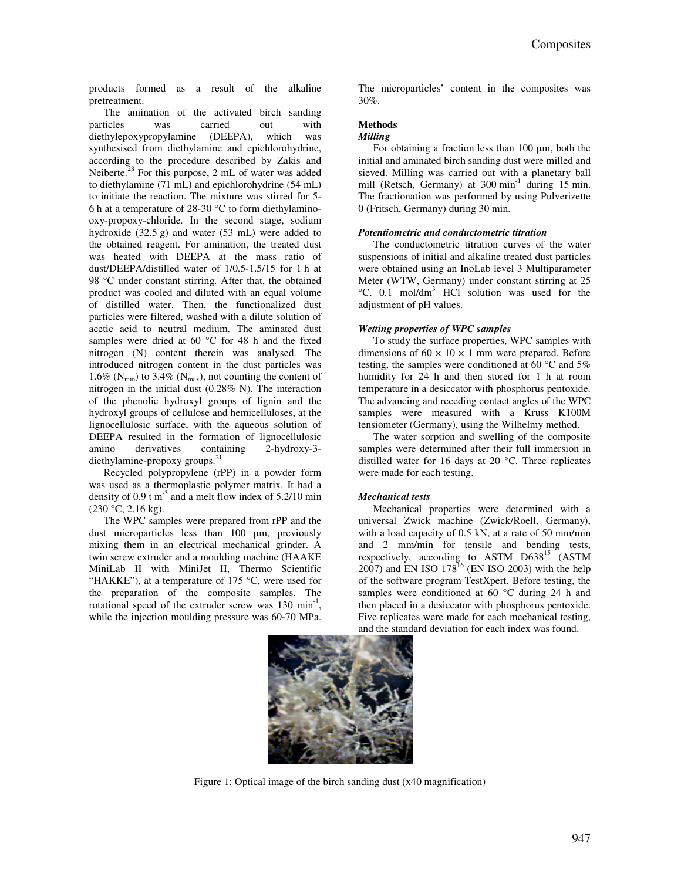products formed as a result of the alkaline pretreatment.

The amination of the activated birch sanding particles was carried out with diethylepoxypropylamine (DEEPA), which was synthesised from diethylamine and epichlorohydrine, according to the procedure described by Zakis and Neiberte.<sup>28</sup> For this purpose, 2 mL of water was added to diethylamine (71 mL) and epichlorohydrine (54 mL) to initiate the reaction. The mixture was stirred for 5- 6 h at a temperature of 28-30 °C to form diethylaminooxy-propoxy-chloride. In the second stage, sodium hydroxide (32.5 g) and water (53 mL) were added to the obtained reagent. For amination, the treated dust was heated with DEEPA at the mass ratio of dust/DEEPA/distilled water of 1/0.5-1.5/15 for 1 h at 98 °C under constant stirring. After that, the obtained product was cooled and diluted with an equal volume of distilled water. Then, the functionalized dust particles were filtered, washed with a dilute solution of acetic acid to neutral medium. The aminated dust samples were dried at 60 °C for 48 h and the fixed nitrogen (N) content therein was analysed. The introduced nitrogen content in the dust particles was 1.6% ( $N_{min}$ ) to 3.4% ( $N_{max}$ ), not counting the content of nitrogen in the initial dust (0.28% N). The interaction of the phenolic hydroxyl groups of lignin and the hydroxyl groups of cellulose and hemicelluloses, at the lignocellulosic surface, with the aqueous solution of DEEPA resulted in the formation of lignocellulosic amino derivatives containing 2-hydroxy-3 diethylamine-propoxy groups.<sup>21</sup>

Recycled polypropylene (rPP) in a powder form was used as a thermoplastic polymer matrix. It had a density of 0.9 t  $m^{-3}$  and a melt flow index of 5.2/10 min  $(230 °C, 2.16 kg).$ 

The WPC samples were prepared from rPP and the dust microparticles less than 100 µm, previously mixing them in an electrical mechanical grinder. A twin screw extruder and a moulding machine (HAAKE MiniLab II with MiniJet II, Thermo Scientific "HAKKE"), at a temperature of 175  $^{\circ}$ C, were used for the preparation of the composite samples. The rotational speed of the extruder screw was 130 min<sup>-1</sup>, while the injection moulding pressure was 60-70 MPa.

The microparticles' content in the composites was 30%.

#### **Methods**

#### *Milling*

For obtaining a fraction less than  $100 \mu m$ , both the initial and aminated birch sanding dust were milled and sieved. Milling was carried out with a planetary ball mill (Retsch, Germany) at  $300 \text{ min}^{-1}$  during 15 min. The fractionation was performed by using Pulverizette 0 (Fritsch, Germany) during 30 min.

#### *Potentiometric and conductometric titration*

The conductometric titration curves of the water suspensions of initial and alkaline treated dust particles were obtained using an InoLab level 3 Multiparameter Meter (WTW, Germany) under constant stirring at 25 <sup>o</sup>C. 0.1 mol/dm<sup>3</sup> HCl solution was used for the adjustment of pH values.

#### *Wetting properties of WPC samples*

To study the surface properties, WPC samples with dimensions of  $60 \times 10 \times 1$  mm were prepared. Before testing, the samples were conditioned at 60 °C and 5% humidity for 24 h and then stored for 1 h at room temperature in a desiccator with phosphorus pentoxide. The advancing and receding contact angles of the WPC samples were measured with a Kruss K100M tensiometer (Germany), using the Wilhelmy method.

The water sorption and swelling of the composite samples were determined after their full immersion in distilled water for 16 days at 20 °C. Three replicates were made for each testing.

#### *Mechanical tests*

Mechanical properties were determined with a universal Zwick machine (Zwick/Roell, Germany), with a load capacity of 0.5 kN, at a rate of 50 mm/min and 2 mm/min for tensile and bending tests, respectively, according to ASTM D638<sup>15</sup> (ASTM  $2007$ ) and EN ISO  $178^{16}$  (EN ISO 2003) with the help of the software program TestXpert. Before testing, the samples were conditioned at 60 °C during 24 h and then placed in a desiccator with phosphorus pentoxide. Five replicates were made for each mechanical testing, and the standard deviation for each index was found.



Figure 1: Optical image of the birch sanding dust (x40 magnification)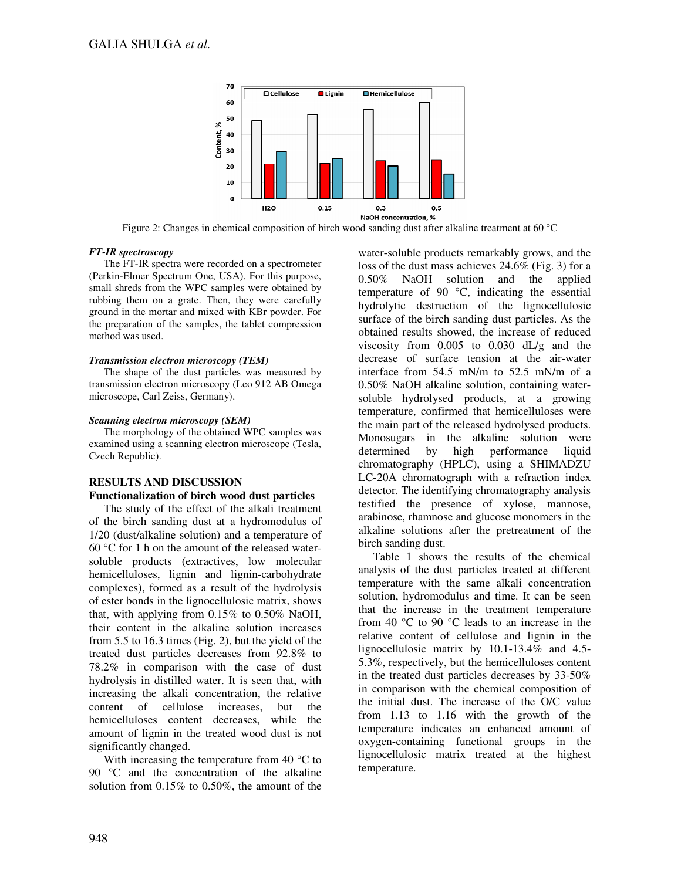

Figure 2: Changes in chemical composition of birch wood sanding dust after alkaline treatment at 60 °C

## *FT-IR spectroscopy*

The FT-IR spectra were recorded on a spectrometer (Perkin-Elmer Spectrum One, USA). For this purpose, small shreds from the WPC samples were obtained by rubbing them on a grate. Then, they were carefully ground in the mortar and mixed with KBr powder. For the preparation of the samples, the tablet compression method was used.

## *Transmission electron microscopy (TEM)*

The shape of the dust particles was measured by transmission electron microscopy (Leo 912 AB Omega microscope, Carl Zeiss, Germany).

## *Scanning electron microscopy (SEM)*

The morphology of the obtained WPC samples was examined using a scanning electron microscope (Tesla, Czech Republic).

## **RESULTS AND DISCUSSION Functionalization of birch wood dust particles**

The study of the effect of the alkali treatment of the birch sanding dust at a hydromodulus of 1/20 (dust/alkaline solution) and a temperature of 60 °C for 1 h on the amount of the released watersoluble products (extractives, low molecular hemicelluloses, lignin and lignin-carbohydrate complexes), formed as a result of the hydrolysis of ester bonds in the lignocellulosic matrix, shows that, with applying from 0.15% to 0.50% NaOH, their content in the alkaline solution increases from 5.5 to 16.3 times (Fig. 2), but the yield of the treated dust particles decreases from 92.8% to 78.2% in comparison with the case of dust hydrolysis in distilled water. It is seen that, with increasing the alkali concentration, the relative content of cellulose increases, but the hemicelluloses content decreases, while the amount of lignin in the treated wood dust is not significantly changed.

With increasing the temperature from 40  $\degree$ C to 90 °C and the concentration of the alkaline solution from 0.15% to 0.50%, the amount of the

water-soluble products remarkably grows, and the loss of the dust mass achieves 24.6% (Fig. 3) for a 0.50% NaOH solution and the applied temperature of 90 °C, indicating the essential hydrolytic destruction of the lignocellulosic surface of the birch sanding dust particles. As the obtained results showed, the increase of reduced viscosity from 0.005 to 0.030 dL/g and the decrease of surface tension at the air-water interface from 54.5 mN/m to 52.5 mN/m of a 0.50% NaOH alkaline solution, containing watersoluble hydrolysed products, at a growing temperature, confirmed that hemicelluloses were the main part of the released hydrolysed products. Monosugars in the alkaline solution were determined by high performance liquid chromatography (HPLC), using a SHIMADZU LC-20A chromatograph with a refraction index detector. The identifying chromatography analysis testified the presence of xylose, mannose, arabinose, rhamnose and glucose monomers in the alkaline solutions after the pretreatment of the birch sanding dust.

Table 1 shows the results of the chemical analysis of the dust particles treated at different temperature with the same alkali concentration solution, hydromodulus and time. It can be seen that the increase in the treatment temperature from 40 °C to 90 °C leads to an increase in the relative content of cellulose and lignin in the lignocellulosic matrix by 10.1-13.4% and 4.5- 5.3%, respectively, but the hemicelluloses content in the treated dust particles decreases by 33-50% in comparison with the chemical composition of the initial dust. The increase of the O/C value from 1.13 to 1.16 with the growth of the temperature indicates an enhanced amount of oxygen-containing functional groups in the lignocellulosic matrix treated at the highest temperature.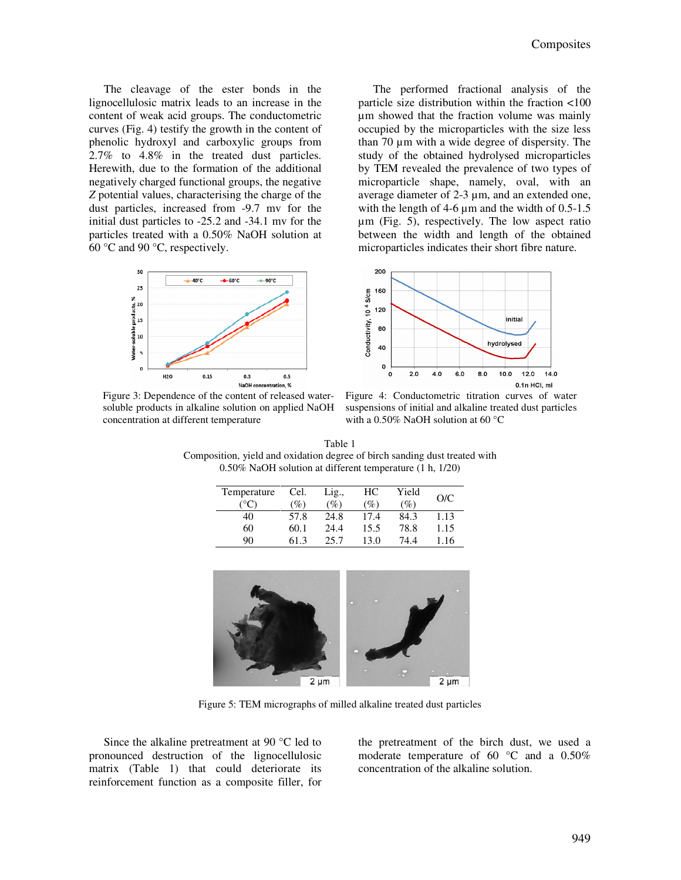The cleavage of the ester bonds in the lignocellulosic matrix leads to an increase in the content of weak acid groups. The conductometric curves (Fig. 4) testify the growth in the content of phenolic hydroxyl and carboxylic groups from 2.7% to 4.8% in the treated dust particles. Herewith, due to the formation of the additional negatively charged functional groups, the negative *Z* potential values, characterising the charge of the dust particles, increased from -9.7 mv for the initial dust particles to -25.2 and -34.1 mv for the particles treated with a 0.50% NaOH solution at 60 °C and 90 °C, respectively.



The performed fractional analysis of the particle size distribution within the fraction <100 µm showed that the fraction volume was mainly occupied by the microparticles with the size less than 70 µm with a wide degree of dispersity. The study of the obtained hydrolysed microparticles by TEM revealed the prevalence of two types of microparticle shape, namely, oval, with an average diameter of 2-3 µm, and an extended one, with the length of  $4-6 \mu m$  and the width of  $0.5-1.5$ µm (Fig. 5), respectively. The low aspect ratio between the width and length of the obtained microparticles indicates their short fibre nature.



Figure 3: Dependence of the content of released watersoluble products in alkaline solution on applied NaOH concentration at different temperature

Figure 4: Conductometric titration curves of water suspensions of initial and alkaline treated dust particles with a 0.50% NaOH solution at 60 °C

| Table 1                                                                    |
|----------------------------------------------------------------------------|
| Composition, yield and oxidation degree of birch sanding dust treated with |
| $0.50\%$ NaOH solution at different temperature $(1 h, 1/20)$              |

| Temperature   | Cel. | Lig., | HС   | Yield  | O/C  |
|---------------|------|-------|------|--------|------|
| $^{\circ}$ C) | (%)  | (%)   | (%)  | $(\%)$ |      |
| 40            | 57.8 | 24.8  | 17.4 | 84.3   | 1.13 |
| 60            | 60.1 | 24.4  | 15.5 | 78.8   | 1.15 |
| 90            | 61.3 | 25.7  | 13.0 | 74.4   | 1.16 |



Figure 5: TEM micrographs of milled alkaline treated dust particles

Since the alkaline pretreatment at 90 °C led to pronounced destruction of the lignocellulosic matrix (Table 1) that could deteriorate its reinforcement function as a composite filler, for the pretreatment of the birch dust, we used a moderate temperature of 60 °C and a 0.50% concentration of the alkaline solution.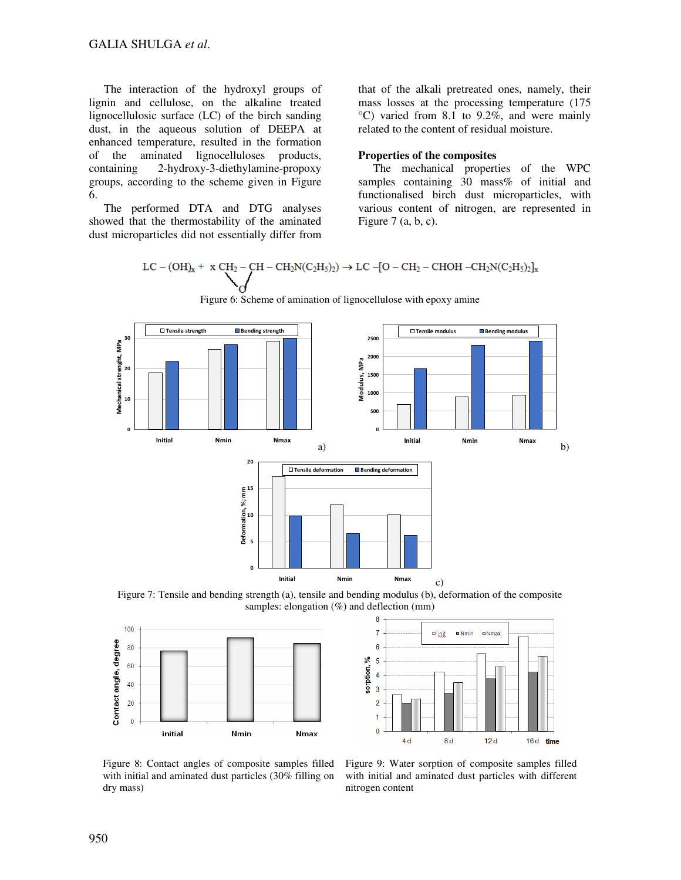The interaction of the hydroxyl groups of lignin and cellulose, on the alkaline treated lignocellulosic surface (LC) of the birch sanding dust, in the aqueous solution of DEEPA at enhanced temperature, resulted in the formation of the aminated lignocelluloses products, containing 2-hydroxy-3-diethylamine-propoxy groups, according to the scheme given in Figure 6.

The performed DTA and DTG analyses showed that the thermostability of the aminated dust microparticles did not essentially differ from that of the alkali pretreated ones, namely, their mass losses at the processing temperature (175 °C) varied from 8.1 to 9.2%, and were mainly related to the content of residual moisture.

### **Properties of the composites**

The mechanical properties of the WPC samples containing 30 mass% of initial and functionalised birch dust microparticles, with various content of nitrogen, are represented in Figure  $7$  (a, b, c).

$$
LC - (OH)_x + \ x\ CH_2-CH - CH_2N(C_2H_5)_2) \rightarrow LC -[O - CH_2-CHOH - CH_2N(C_2H_5)_2]_x
$$



Figure 6: Scheme of amination of lignocellulose with epoxy amine

Figure 7: Tensile and bending strength (a), tensile and bending modulus (b), deformation of the composite samples: elongation  $(\%)$  and deflection (mm)





Figure 8: Contact angles of composite samples filled with initial and aminated dust particles (30% filling on dry mass)

Figure 9: Water sorption of composite samples filled with initial and aminated dust particles with different nitrogen content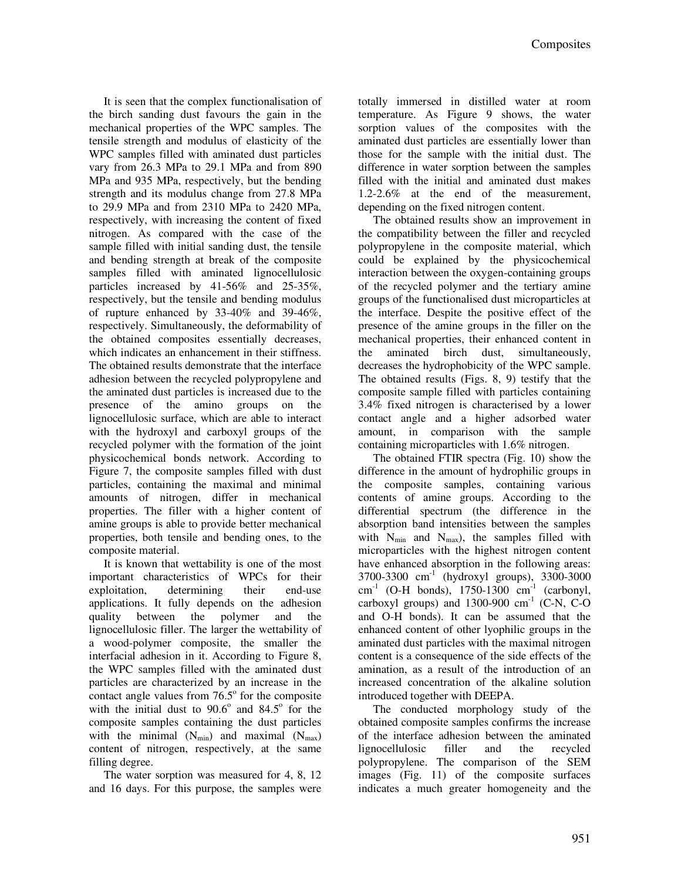It is seen that the complex functionalisation of the birch sanding dust favours the gain in the mechanical properties of the WPC samples. The tensile strength and modulus of elasticity of the WPC samples filled with aminated dust particles vary from 26.3 MPa to 29.1 MPa and from 890 MPa and 935 MPa, respectively, but the bending strength and its modulus change from 27.8 MPa to 29.9 MPa and from 2310 MPa to 2420 MPa, respectively, with increasing the content of fixed nitrogen. As compared with the case of the sample filled with initial sanding dust, the tensile and bending strength at break of the composite samples filled with aminated lignocellulosic particles increased by 41-56% and 25-35%, respectively, but the tensile and bending modulus of rupture enhanced by 33-40% and 39-46%, respectively. Simultaneously, the deformability of the obtained composites essentially decreases, which indicates an enhancement in their stiffness. The obtained results demonstrate that the interface adhesion between the recycled polypropylene and the aminated dust particles is increased due to the presence of the amino groups on the lignocellulosic surface, which are able to interact with the hydroxyl and carboxyl groups of the recycled polymer with the formation of the joint physicochemical bonds network. According to Figure 7, the composite samples filled with dust particles, containing the maximal and minimal amounts of nitrogen, differ in mechanical properties. The filler with a higher content of amine groups is able to provide better mechanical properties, both tensile and bending ones, to the composite material.

It is known that wettability is one of the most important characteristics of WPCs for their exploitation, determining their end-use applications. It fully depends on the adhesion quality between the polymer and the lignocellulosic filler. The larger the wettability of a wood-polymer composite, the smaller the interfacial adhesion in it. According to Figure 8, the WPC samples filled with the aminated dust particles are characterized by an increase in the contact angle values from  $76.5^\circ$  for the composite with the initial dust to  $90.6^{\circ}$  and  $84.5^{\circ}$  for the composite samples containing the dust particles with the minimal  $(N_{min})$  and maximal  $(N_{max})$ content of nitrogen, respectively, at the same filling degree.

The water sorption was measured for 4, 8, 12 and 16 days. For this purpose, the samples were totally immersed in distilled water at room temperature. As Figure 9 shows, the water sorption values of the composites with the aminated dust particles are essentially lower than those for the sample with the initial dust. The difference in water sorption between the samples filled with the initial and aminated dust makes 1.2-2.6% at the end of the measurement, depending on the fixed nitrogen content.

The obtained results show an improvement in the compatibility between the filler and recycled polypropylene in the composite material, which could be explained by the physicochemical interaction between the oxygen-containing groups of the recycled polymer and the tertiary amine groups of the functionalised dust microparticles at the interface. Despite the positive effect of the presence of the amine groups in the filler on the mechanical properties, their enhanced content in the aminated birch dust, simultaneously, decreases the hydrophobicity of the WPC sample. The obtained results (Figs. 8, 9) testify that the composite sample filled with particles containing 3.4% fixed nitrogen is characterised by a lower contact angle and a higher adsorbed water amount, in comparison with the sample containing microparticles with 1.6% nitrogen.

The obtained FTIR spectra (Fig. 10) show the difference in the amount of hydrophilic groups in the composite samples, containing various contents of amine groups. According to the differential spectrum (the difference in the absorption band intensities between the samples with  $N_{min}$  and  $N_{max}$ ), the samples filled with microparticles with the highest nitrogen content have enhanced absorption in the following areas:  $3700-3300$  cm<sup>-1</sup> (hydroxyl groups),  $3300-3000$  $cm^{-1}$  (O-H bonds), 1750-1300  $cm^{-1}$  (carbonyl, carboxyl groups) and  $1300-900$  cm<sup>-1</sup> (C-N, C-O and O-H bonds). It can be assumed that the enhanced content of other lyophilic groups in the aminated dust particles with the maximal nitrogen content is a consequence of the side effects of the amination, as a result of the introduction of an increased concentration of the alkaline solution introduced together with DEEPA.

The conducted morphology study of the obtained composite samples confirms the increase of the interface adhesion between the aminated lignocellulosic filler and the recycled polypropylene. The comparison of the SEM images (Fig. 11) of the composite surfaces indicates a much greater homogeneity and the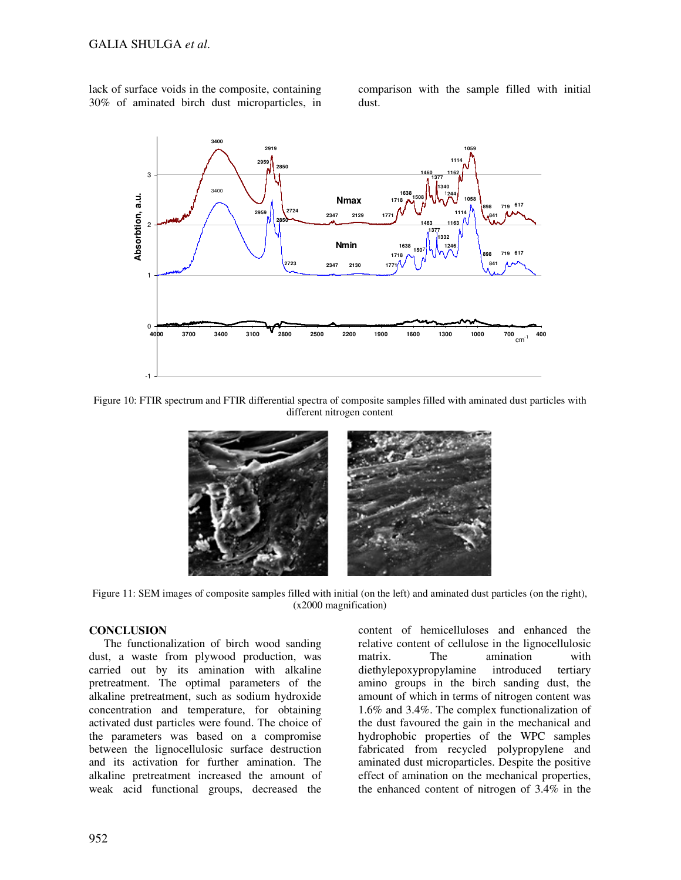lack of surface voids in the composite, containing 30% of aminated birch dust microparticles, in comparison with the sample filled with initial dust.



Figure 10: FTIR spectrum and FTIR differential spectra of composite samples filled with aminated dust particles with different nitrogen content



Figure 11: SEM images of composite samples filled with initial (on the left) and aminated dust particles (on the right), (x2000 magnification)

## **CONCLUSION**

The functionalization of birch wood sanding dust, a waste from plywood production, was carried out by its amination with alkaline pretreatment. The optimal parameters of the alkaline pretreatment, such as sodium hydroxide concentration and temperature, for obtaining activated dust particles were found. The choice of the parameters was based on a compromise between the lignocellulosic surface destruction and its activation for further amination. The alkaline pretreatment increased the amount of weak acid functional groups, decreased the

content of hemicelluloses and enhanced the relative content of cellulose in the lignocellulosic matrix. The amination with diethylepoxypropylamine introduced tertiary amino groups in the birch sanding dust, the amount of which in terms of nitrogen content was 1.6% and 3.4%. The complex functionalization of the dust favoured the gain in the mechanical and hydrophobic properties of the WPC samples fabricated from recycled polypropylene and aminated dust microparticles. Despite the positive effect of amination on the mechanical properties, the enhanced content of nitrogen of 3.4% in the